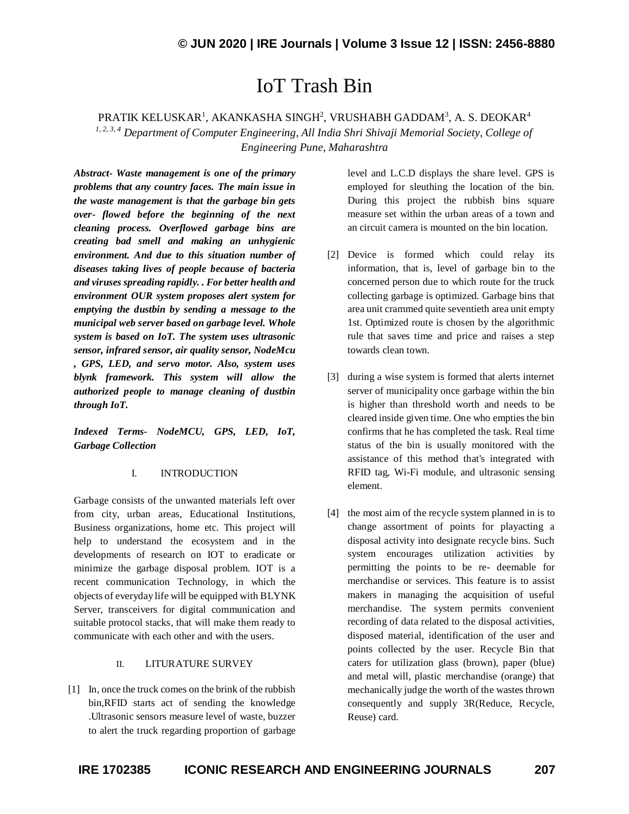# IoT Trash Bin

PRATIK KELUSKAR $^{\rm l}$ , AKANKASHA SINGH $^{\rm 2}$ , VRUSHABH GADDAM $^{\rm 3}$ , A. S. DEOKAR $^{\rm 4}$ *1, 2, 3, 4 Department of Computer Engineering, All India Shri Shivaji Memorial Society, College of Engineering Pune, Maharashtra*

*Abstract- Waste management is one of the primary problems that any country faces. The main issue in the waste management is that the garbage bin gets over- flowed before the beginning of the next cleaning process. Overflowed garbage bins are creating bad smell and making an unhygienic environment. And due to this situation number of diseases taking lives of people because of bacteria and viruses spreading rapidly. . For better health and environment OUR system proposes alert system for emptying the dustbin by sending a message to the municipal web server based on garbage level. Whole system is based on IoT. The system uses ultrasonic sensor, infrared sensor, air quality sensor, NodeMcu , GPS, LED, and servo motor. Also, system uses blynk framework. This system will allow the authorized people to manage cleaning of dustbin through IoT.*

*Indexed Terms- NodeMCU, GPS, LED, IoT, Garbage Collection*

#### I. INTRODUCTION

Garbage consists of the unwanted materials left over from city, urban areas, Educational Institutions, Business organizations, home etc. This project will help to understand the ecosystem and in the developments of research on IOT to eradicate or minimize the garbage disposal problem. IOT is a recent communication Technology, in which the objects of everyday life will be equipped with BLYNK Server, transceivers for digital communication and suitable protocol stacks, that will make them ready to communicate with each other and with the users.

#### II. LITURATURE SURVEY

[1] In, once the truck comes on the brink of the rubbish bin,RFID starts act of sending the knowledge .Ultrasonic sensors measure level of waste, buzzer to alert the truck regarding proportion of garbage level and L.C.D displays the share level. GPS is employed for sleuthing the location of the bin. During this project the rubbish bins square measure set within the urban areas of a town and an circuit camera is mounted on the bin location.

- [2] Device is formed which could relay its information, that is, level of garbage bin to the concerned person due to which route for the truck collecting garbage is optimized. Garbage bins that area unit crammed quite seventieth area unit empty 1st. Optimized route is chosen by the algorithmic rule that saves time and price and raises a step towards clean town.
- [3] during a wise system is formed that alerts internet server of municipality once garbage within the bin is higher than threshold worth and needs to be cleared inside given time. One who empties the bin confirms that he has completed the task. Real time status of the bin is usually monitored with the assistance of this method that's integrated with RFID tag, Wi-Fi module, and ultrasonic sensing element.
- [4] the most aim of the recycle system planned in is to change assortment of points for playacting a disposal activity into designate recycle bins. Such system encourages utilization activities by permitting the points to be re- deemable for merchandise or services. This feature is to assist makers in managing the acquisition of useful merchandise. The system permits convenient recording of data related to the disposal activities, disposed material, identification of the user and points collected by the user. Recycle Bin that caters for utilization glass (brown), paper (blue) and metal will, plastic merchandise (orange) that mechanically judge the worth of the wastes thrown consequently and supply 3R(Reduce, Recycle, Reuse) card.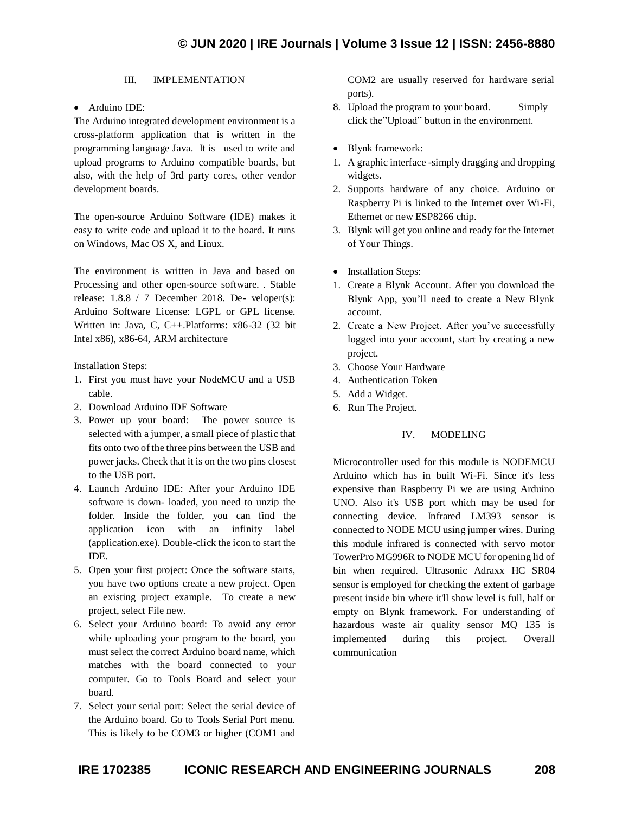## III. IMPLEMENTATION

Arduino IDE:

The Arduino integrated development environment is a cross-platform application that is written in the programming language Java. It is used to write and upload programs to Arduino compatible boards, but also, with the help of 3rd party cores, other vendor development boards.

The open-source Arduino Software (IDE) makes it easy to write code and upload it to the board. It runs on Windows, Mac OS X, and Linux.

The environment is written in Java and based on Processing and other open-source software. . Stable release: 1.8.8 / 7 December 2018. De- veloper(s): Arduino Software License: LGPL or GPL license. Written in: Java, C, C++.Platforms: x86-32 (32 bit Intel x86), x86-64, ARM architecture

Installation Steps:

- 1. First you must have your NodeMCU and a USB cable.
- 2. Download Arduino IDE Software
- 3. Power up your board: The power source is selected with a jumper, a small piece of plastic that fits onto two of the three pins between the USB and power jacks. Check that it is on the two pins closest to the USB port.
- 4. Launch Arduino IDE: After your Arduino IDE software is down- loaded, you need to unzip the folder. Inside the folder, you can find the application icon with an infinity label (application.exe). Double-click the icon to start the IDE.
- 5. Open your first project: Once the software starts, you have two options create a new project. Open an existing project example. To create a new project, select File new.
- 6. Select your Arduino board: To avoid any error while uploading your program to the board, you must select the correct Arduino board name, which matches with the board connected to your computer. Go to Tools Board and select your board.
- 7. Select your serial port: Select the serial device of the Arduino board. Go to Tools Serial Port menu. This is likely to be COM3 or higher (COM1 and

COM2 are usually reserved for hardware serial ports).

- 8. Upload the program to your board. Simply click the"Upload" button in the environment.
- Blynk framework:
- 1. A graphic interface -simply dragging and dropping widgets.
- 2. Supports hardware of any choice. Arduino or Raspberry Pi is linked to the Internet over Wi-Fi, Ethernet or new ESP8266 chip.
- 3. Blynk will get you online and ready for the Internet of Your Things.
- Installation Steps:
- 1. Create a Blynk Account. After you download the Blynk App, you'll need to create a New Blynk account.
- 2. Create a New Project. After you've successfully logged into your account, start by creating a new project.
- 3. Choose Your Hardware
- 4. Authentication Token
- 5. Add a Widget.
- 6. Run The Project.

## IV. MODELING

Microcontroller used for this module is NODEMCU Arduino which has in built Wi-Fi. Since it's less expensive than Raspberry Pi we are using Arduino UNO. Also it's USB port which may be used for connecting device. Infrared LM393 sensor is connected to NODE MCU using jumper wires. During this module infrared is connected with servo motor TowerPro MG996R to NODE MCU for opening lid of bin when required. Ultrasonic Adraxx HC SR04 sensor is employed for checking the extent of garbage present inside bin where it'll show level is full, half or empty on Blynk framework. For understanding of hazardous waste air quality sensor MQ 135 is implemented during this project. Overall communication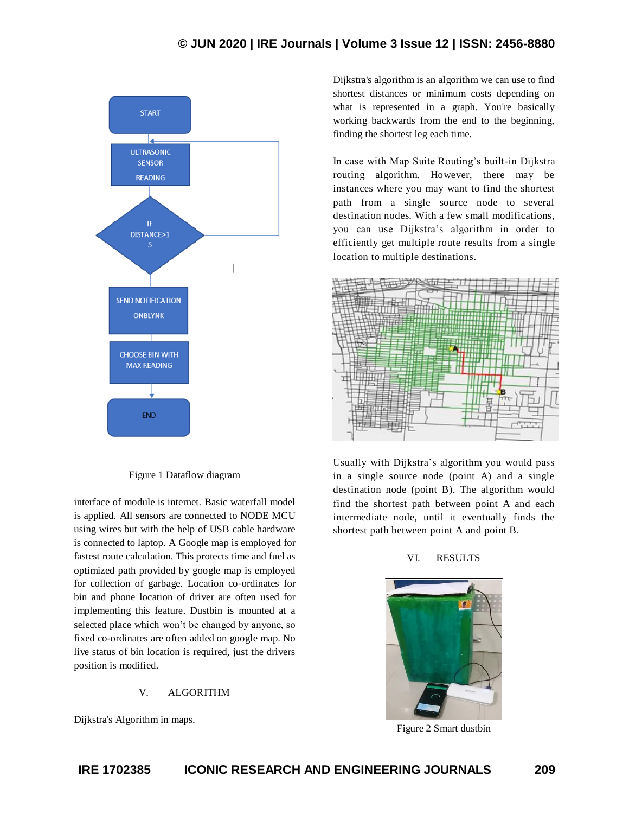

Figure 1 Dataflow diagram

interface of module is internet. Basic waterfall model is applied. All sensors are connected to NODE MCU using wires but with the help of USB cable hardware is connected to laptop. A Google map is employed for fastest route calculation. This protects time and fuel as optimized path provided by google map is employed for collection of garbage. Location co-ordinates for bin and phone location of driver are often used for implementing this feature. Dustbin is mounted at a selected place which won't be changed by anyone, so fixed co-ordinates are often added on google map. No live status of bin location is required, just the drivers position is modified.

# V. ALGORITHM

Dijkstra's Algorithm in maps.

Dijkstra's algorithm is an algorithm we can use to find shortest distances or minimum costs depending on what is represented in a graph. You're basically working backwards from the end to the beginning, finding the shortest leg each time.

In case with Map Suite Routing's built-in Dijkstra routing algorithm. However, there may be instances where you may want to find the shortest path from a single source node to several destination nodes. With a few small modifications, you can use Dijkstra's algorithm in order to efficiently get multiple route results from a single location to multiple destinations.



Usually with Dijkstra's algorithm you would pass in a single source node (point A) and a single destination node (point B). The algorithm would find the shortest path between point A and each intermediate node, until it eventually finds the shortest path between point A and point B.

# VI. RESULTS



Figure 2 Smart dustbin